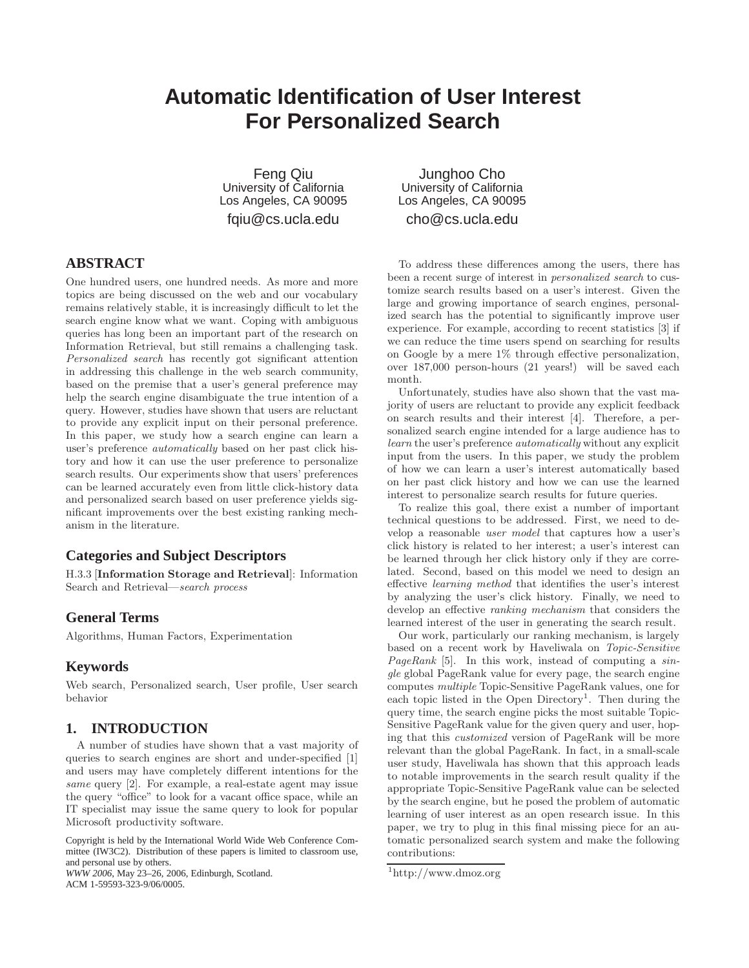# **Automatic Identification of User Interest For Personalized Search**

Feng Qiu University of California Los Angeles, CA 90095 fqiu@cs.ucla.edu

# **ABSTRACT**

One hundred users, one hundred needs. As more and more topics are being discussed on the web and our vocabulary remains relatively stable, it is increasingly difficult to let the search engine know what we want. Coping with ambiguous queries has long been an important part of the research on Information Retrieval, but still remains a challenging task. Personalized search has recently got significant attention in addressing this challenge in the web search community, based on the premise that a user's general preference may help the search engine disambiguate the true intention of a query. However, studies have shown that users are reluctant to provide any explicit input on their personal preference. In this paper, we study how a search engine can learn a user's preference automatically based on her past click history and how it can use the user preference to personalize search results. Our experiments show that users' preferences can be learned accurately even from little click-history data and personalized search based on user preference yields significant improvements over the best existing ranking mechanism in the literature.

## **Categories and Subject Descriptors**

H.3.3 [Information Storage and Retrieval]: Information Search and Retrieval—search process

# **General Terms**

Algorithms, Human Factors, Experimentation

### **Keywords**

Web search, Personalized search, User profile, User search behavior

# **1. INTRODUCTION**

A number of studies have shown that a vast majority of queries to search engines are short and under-specified [1] and users may have completely different intentions for the same query [2]. For example, a real-estate agent may issue the query "office" to look for a vacant office space, while an IT specialist may issue the same query to look for popular Microsoft productivity software.

Copyright is held by the International World Wide Web Conference Committee (IW3C2). Distribution of these papers is limited to classroom use, and personal use by others. *WWW 2006*, May 23–26, 2006, Edinburgh, Scotland.

ACM 1-59593-323-9/06/0005.

Junghoo Cho University of California Los Angeles, CA 90095 cho@cs.ucla.edu

To address these differences among the users, there has been a recent surge of interest in personalized search to customize search results based on a user's interest. Given the large and growing importance of search engines, personalized search has the potential to significantly improve user experience. For example, according to recent statistics [3] if we can reduce the time users spend on searching for results on Google by a mere 1% through effective personalization, over 187,000 person-hours (21 years!) will be saved each month.

Unfortunately, studies have also shown that the vast majority of users are reluctant to provide any explicit feedback on search results and their interest [4]. Therefore, a personalized search engine intended for a large audience has to learn the user's preference automatically without any explicit input from the users. In this paper, we study the problem of how we can learn a user's interest automatically based on her past click history and how we can use the learned interest to personalize search results for future queries.

To realize this goal, there exist a number of important technical questions to be addressed. First, we need to develop a reasonable user model that captures how a user's click history is related to her interest; a user's interest can be learned through her click history only if they are correlated. Second, based on this model we need to design an effective learning method that identifies the user's interest by analyzing the user's click history. Finally, we need to develop an effective ranking mechanism that considers the learned interest of the user in generating the search result.

Our work, particularly our ranking mechanism, is largely based on a recent work by Haveliwala on Topic-Sensitive PageRank [5]. In this work, instead of computing a single global PageRank value for every page, the search engine computes multiple Topic-Sensitive PageRank values, one for each topic listed in the Open Directory<sup>1</sup>. Then during the query time, the search engine picks the most suitable Topic-Sensitive PageRank value for the given query and user, hoping that this customized version of PageRank will be more relevant than the global PageRank. In fact, in a small-scale user study, Haveliwala has shown that this approach leads to notable improvements in the search result quality if the appropriate Topic-Sensitive PageRank value can be selected by the search engine, but he posed the problem of automatic learning of user interest as an open research issue. In this paper, we try to plug in this final missing piece for an automatic personalized search system and make the following contributions:

<sup>1</sup>http://www.dmoz.org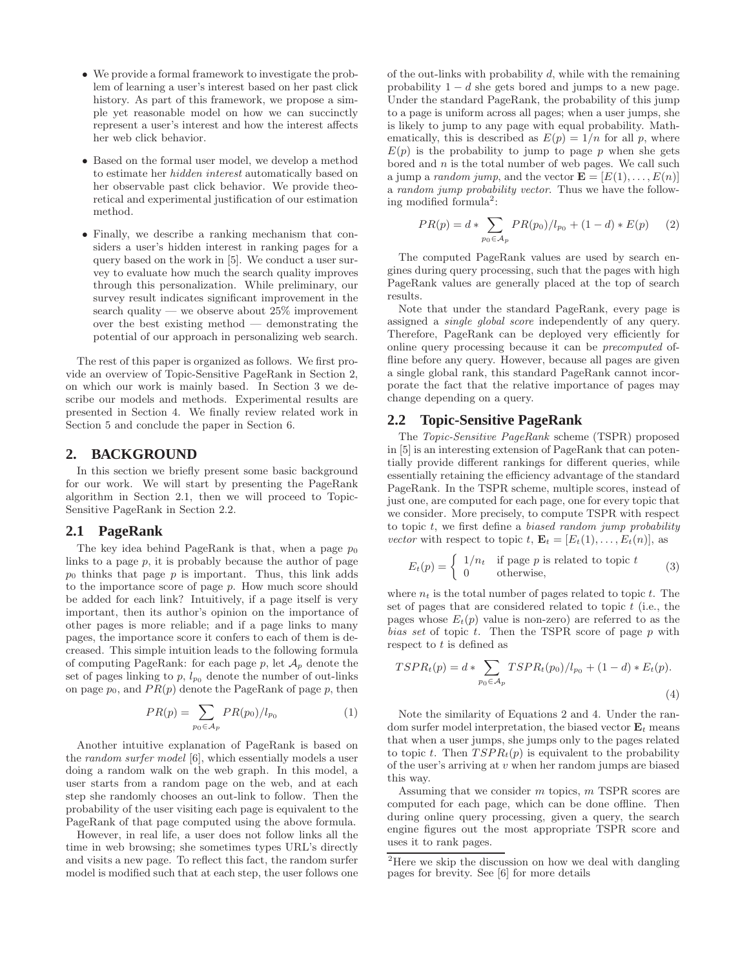- We provide a formal framework to investigate the problem of learning a user's interest based on her past click history. As part of this framework, we propose a simple yet reasonable model on how we can succinctly represent a user's interest and how the interest affects her web click behavior.
- Based on the formal user model, we develop a method to estimate her hidden interest automatically based on her observable past click behavior. We provide theoretical and experimental justification of our estimation method.
- Finally, we describe a ranking mechanism that considers a user's hidden interest in ranking pages for a query based on the work in [5]. We conduct a user survey to evaluate how much the search quality improves through this personalization. While preliminary, our survey result indicates significant improvement in the search quality — we observe about  $25\%$  improvement over the best existing method — demonstrating the potential of our approach in personalizing web search.

The rest of this paper is organized as follows. We first provide an overview of Topic-Sensitive PageRank in Section 2, on which our work is mainly based. In Section 3 we describe our models and methods. Experimental results are presented in Section 4. We finally review related work in Section 5 and conclude the paper in Section 6.

#### **2. BACKGROUND**

In this section we briefly present some basic background for our work. We will start by presenting the PageRank algorithm in Section 2.1, then we will proceed to Topic-Sensitive PageRank in Section 2.2.

#### **2.1 PageRank**

The key idea behind PageRank is that, when a page  $p_0$ links to a page  $p$ , it is probably because the author of page  $p_0$  thinks that page p is important. Thus, this link adds to the importance score of page p. How much score should be added for each link? Intuitively, if a page itself is very important, then its author's opinion on the importance of other pages is more reliable; and if a page links to many pages, the importance score it confers to each of them is decreased. This simple intuition leads to the following formula of computing PageRank: for each page  $p$ , let  $\mathcal{A}_p$  denote the set of pages linking to  $p, l_{p_0}$  denote the number of out-links on page  $p_0$ , and  $PR(p)$  denote the PageRank of page p, then

$$
PR(p) = \sum_{p_0 \in \mathcal{A}_p} PR(p_0) / l_{p_0}
$$
 (1)

Another intuitive explanation of PageRank is based on the random surfer model [6], which essentially models a user doing a random walk on the web graph. In this model, a user starts from a random page on the web, and at each step she randomly chooses an out-link to follow. Then the probability of the user visiting each page is equivalent to the PageRank of that page computed using the above formula.

However, in real life, a user does not follow links all the time in web browsing; she sometimes types URL's directly and visits a new page. To reflect this fact, the random surfer model is modified such that at each step, the user follows one

of the out-links with probability  $d$ , while with the remaining probability  $1 - d$  she gets bored and jumps to a new page. Under the standard PageRank, the probability of this jump to a page is uniform across all pages; when a user jumps, she is likely to jump to any page with equal probability. Mathematically, this is described as  $E(p) = 1/n$  for all p, where  $E(p)$  is the probability to jump to page p when she gets bored and  $n$  is the total number of web pages. We call such a jump a *random jump*, and the vector  $\mathbf{E} = [E(1), \ldots, E(n)]$ a random jump probability vector. Thus we have the following modified formula<sup>2</sup>:

$$
PR(p) = d * \sum_{p_0 \in A_p} PR(p_0) / l_{p_0} + (1 - d) * E(p) \qquad (2)
$$

The computed PageRank values are used by search engines during query processing, such that the pages with high PageRank values are generally placed at the top of search results.

Note that under the standard PageRank, every page is assigned a single global score independently of any query. Therefore, PageRank can be deployed very efficiently for online query processing because it can be precomputed offline before any query. However, because all pages are given a single global rank, this standard PageRank cannot incorporate the fact that the relative importance of pages may change depending on a query.

# **2.2 Topic-Sensitive PageRank**

The Topic-Sensitive PageRank scheme (TSPR) proposed in [5] is an interesting extension of PageRank that can potentially provide different rankings for different queries, while essentially retaining the efficiency advantage of the standard PageRank. In the TSPR scheme, multiple scores, instead of just one, are computed for each page, one for every topic that we consider. More precisely, to compute TSPR with respect to topic  $t$ , we first define a biased random jump probability vector with respect to topic t,  $\mathbf{E}_t = [E_t(1), \ldots, E_t(n)]$ , as

$$
E_t(p) = \begin{cases} 1/n_t & \text{if page } p \text{ is related to topic } t \\ 0 & \text{otherwise,} \end{cases}
$$
 (3)

where  $n_t$  is the total number of pages related to topic t. The set of pages that are considered related to topic  $t$  (i.e., the pages whose  $E_t(p)$  value is non-zero) are referred to as the bias set of topic t. Then the TSPR score of page p with respect to  $t$  is defined as

$$
TSPR_t(p) = d * \sum_{p_0 \in A_p} TSPR_t(p_0)/l_{p_0} + (1 - d) * E_t(p).
$$
\n(4)

Note the similarity of Equations 2 and 4. Under the random surfer model interpretation, the biased vector  $\mathbf{E}_t$  means that when a user jumps, she jumps only to the pages related to topic t. Then  $TSPR_t(p)$  is equivalent to the probability of the user's arriving at v when her random jumps are biased this way.

Assuming that we consider m topics, m TSPR scores are computed for each page, which can be done offline. Then during online query processing, given a query, the search engine figures out the most appropriate TSPR score and uses it to rank pages.

<sup>&</sup>lt;sup>2</sup>Here we skip the discussion on how we deal with dangling pages for brevity. See [6] for more details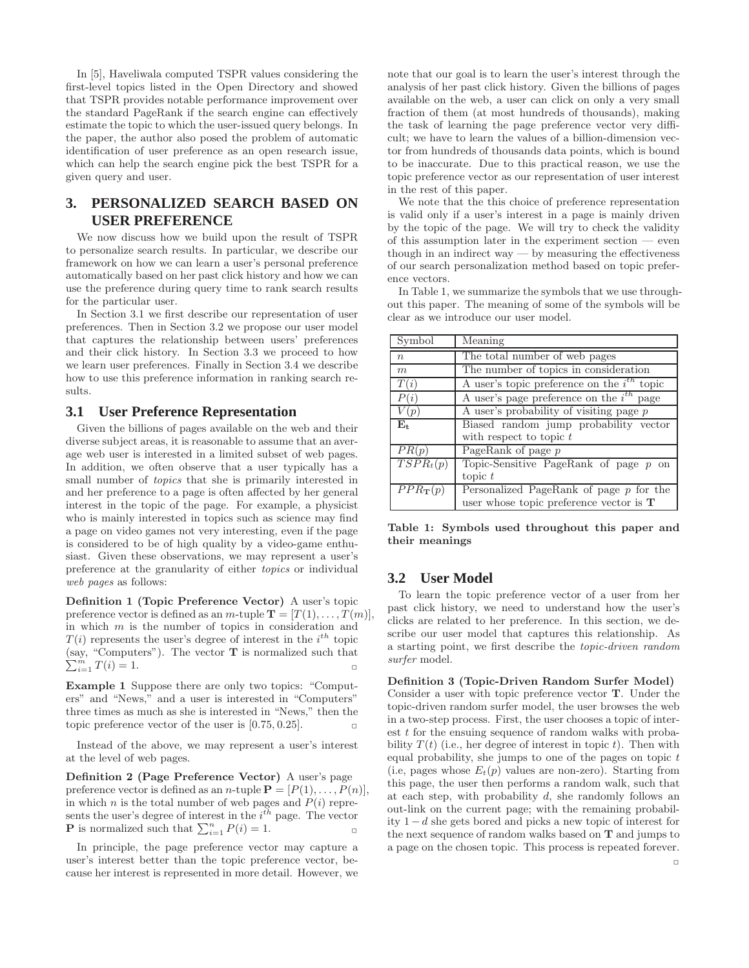In [5], Haveliwala computed TSPR values considering the first-level topics listed in the Open Directory and showed that TSPR provides notable performance improvement over the standard PageRank if the search engine can effectively estimate the topic to which the user-issued query belongs. In the paper, the author also posed the problem of automatic identification of user preference as an open research issue, which can help the search engine pick the best TSPR for a given query and user.

# **3. PERSONALIZED SEARCH BASED ON USER PREFERENCE**

We now discuss how we build upon the result of TSPR to personalize search results. In particular, we describe our framework on how we can learn a user's personal preference automatically based on her past click history and how we can use the preference during query time to rank search results for the particular user.

In Section 3.1 we first describe our representation of user preferences. Then in Section 3.2 we propose our user model that captures the relationship between users' preferences and their click history. In Section 3.3 we proceed to how we learn user preferences. Finally in Section 3.4 we describe how to use this preference information in ranking search results.

#### **3.1 User Preference Representation**

Given the billions of pages available on the web and their diverse subject areas, it is reasonable to assume that an average web user is interested in a limited subset of web pages. In addition, we often observe that a user typically has a small number of *topics* that she is primarily interested in and her preference to a page is often affected by her general interest in the topic of the page. For example, a physicist who is mainly interested in topics such as science may find a page on video games not very interesting, even if the page is considered to be of high quality by a video-game enthusiast. Given these observations, we may represent a user's preference at the granularity of either topics or individual web pages as follows:

Definition 1 (Topic Preference Vector) A user's topic preference vector is defined as an m-tuple  $\mathbf{T} = [T(1), \ldots, T(m)]$ , in which  $m$  is the number of topics in consideration and  $T(i)$  represents the user's degree of interest in the  $i^{th}$  topic  $\sum_{i=1}^{m} T(i) = 1.$ (say, "Computers"). The vector T is normalized such that

Example 1 Suppose there are only two topics: "Computers" and "News," and a user is interested in "Computers" three times as much as she is interested in "News," then the topic preference vector of the user is  $[0.75, 0.25]$ .

Instead of the above, we may represent a user's interest at the level of web pages.

Definition 2 (Page Preference Vector) A user's page preference vector is defined as an *n*-tuple  $\mathbf{P} = [P(1), \ldots, P(n)],$ in which n is the total number of web pages and  $P(i)$  represents the user's degree of interest in the  $i^{th}$  page. The vector **P** is normalized such that  $\sum_{i=1}^{n} P(i) = 1$ .

In principle, the page preference vector may capture a user's interest better than the topic preference vector, because her interest is represented in more detail. However, we

note that our goal is to learn the user's interest through the analysis of her past click history. Given the billions of pages available on the web, a user can click on only a very small fraction of them (at most hundreds of thousands), making the task of learning the page preference vector very difficult; we have to learn the values of a billion-dimension vector from hundreds of thousands data points, which is bound to be inaccurate. Due to this practical reason, we use the topic preference vector as our representation of user interest in the rest of this paper.

We note that the this choice of preference representation is valid only if a user's interest in a page is mainly driven by the topic of the page. We will try to check the validity of this assumption later in the experiment section — even though in an indirect way  $-$  by measuring the effectiveness of our search personalization method based on topic preference vectors.

In Table 1, we summarize the symbols that we use throughout this paper. The meaning of some of the symbols will be clear as we introduce our user model.

| Symbol                           | Meaning                                         |
|----------------------------------|-------------------------------------------------|
| $\boldsymbol{n}$                 | The total number of web pages                   |
| m                                | The number of topics in consideration           |
| T(i)                             | A user's topic preference on the $i^{th}$ topic |
| P(i)                             | A user's page preference on the $i^{th}$ page   |
| V(p)                             | A user's probability of visiting page $p$       |
| $\mathbf{E}_{\text{t}}$          | Biased random jump probability vector           |
|                                  | with respect to topic $t$                       |
| PR(p)                            | PageRank of page $p$                            |
| $\overline{TSPR}_{t}(p)$         | Topic-Sensitive PageRank of page $p$<br>on      |
|                                  | topic $t$                                       |
| $\overline{PPR}_{\mathbf{T}}(p)$ | Personalized PageRank of page $p$ for the       |
|                                  | user whose topic preference vector is $T$       |

Table 1: Symbols used throughout this paper and their meanings

#### **3.2 User Model**

To learn the topic preference vector of a user from her past click history, we need to understand how the user's clicks are related to her preference. In this section, we describe our user model that captures this relationship. As a starting point, we first describe the topic-driven random surfer model.

#### Definition 3 (Topic-Driven Random Surfer Model)

Consider a user with topic preference vector T. Under the topic-driven random surfer model, the user browses the web in a two-step process. First, the user chooses a topic of interest t for the ensuing sequence of random walks with probability  $T(t)$  (i.e., her degree of interest in topic t). Then with equal probability, she jumps to one of the pages on topic  $t$ (i.e, pages whose  $E_t(p)$  values are non-zero). Starting from this page, the user then performs a random walk, such that at each step, with probability  $d$ , she randomly follows an out-link on the current page; with the remaining probability 1− d she gets bored and picks a new topic of interest for the next sequence of random walks based on T and jumps to a page on the chosen topic. This process is repeated forever.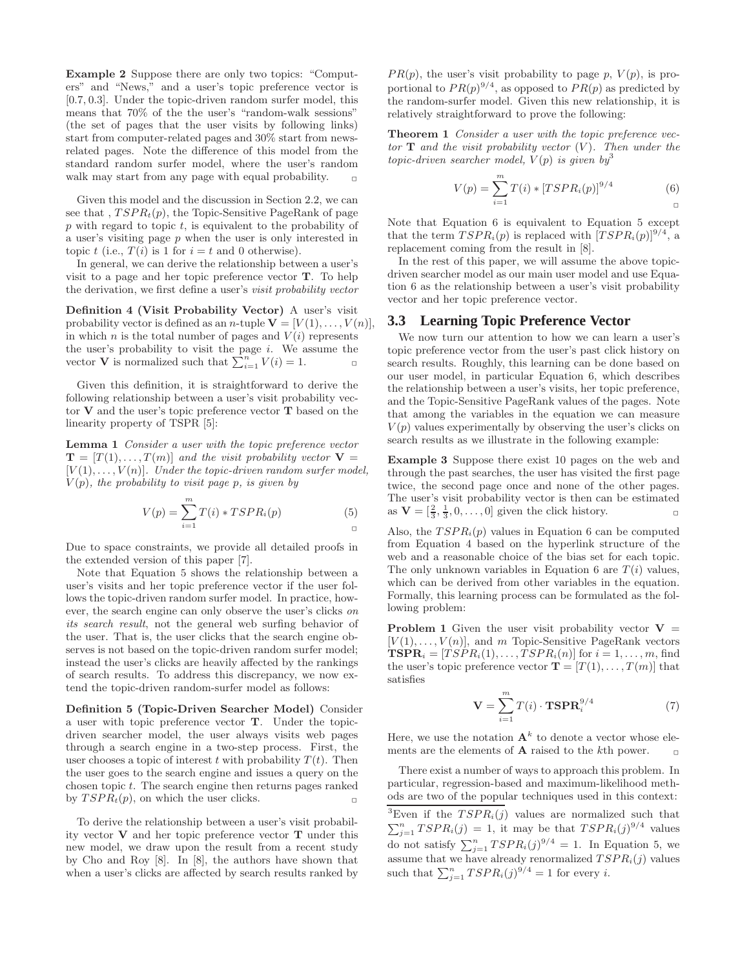Example 2 Suppose there are only two topics: "Computers" and "News," and a user's topic preference vector is [0.7, 0.3]. Under the topic-driven random surfer model, this means that 70% of the the user's "random-walk sessions" (the set of pages that the user visits by following links) start from computer-related pages and 30% start from newsrelated pages. Note the difference of this model from the standard random surfer model, where the user's random walk may start from any page with equal probability.

Given this model and the discussion in Section 2.2, we can see that ,  $TSPR_t(p)$ , the Topic-Sensitive PageRank of page  $p$  with regard to topic  $t$ , is equivalent to the probability of a user's visiting page p when the user is only interested in topic t (i.e.,  $T(i)$  is 1 for  $i = t$  and 0 otherwise).

In general, we can derive the relationship between a user's visit to a page and her topic preference vector T. To help the derivation, we first define a user's visit probability vector

Definition 4 (Visit Probability Vector) A user's visit probability vector is defined as an *n*-tuple  $V = [V(1), \ldots, V(n)],$ in which  $n$  is the total number of pages and  $V(i)$  represents the user's probability to visit the page  $i$ . We assume the vector **V** is normalized such that  $\sum_{i=1}^{n} V(i) = 1$ .

Given this definition, it is straightforward to derive the following relationship between a user's visit probability vector  $V$  and the user's topic preference vector  $T$  based on the linearity property of TSPR [5]:

Lemma 1 Consider a user with the topic preference vector  $\mathbf{T} = [T(1), \ldots, T(m)]$  and the visit probability vector  $\mathbf{V} =$  $[V(1), \ldots, V(n)]$ . Under the topic-driven random surfer model,  $V(p)$ , the probability to visit page p, is given by

$$
V(p) = \sum_{i=1}^{m} T(i) * TSPR_i(p)
$$
\n<sup>(5)</sup>

Due to space constraints, we provide all detailed proofs in the extended version of this paper [7].

Note that Equation 5 shows the relationship between a user's visits and her topic preference vector if the user follows the topic-driven random surfer model. In practice, however, the search engine can only observe the user's clicks on its search result, not the general web surfing behavior of the user. That is, the user clicks that the search engine observes is not based on the topic-driven random surfer model; instead the user's clicks are heavily affected by the rankings of search results. To address this discrepancy, we now extend the topic-driven random-surfer model as follows:

Definition 5 (Topic-Driven Searcher Model) Consider a user with topic preference vector T. Under the topicdriven searcher model, the user always visits web pages through a search engine in a two-step process. First, the user chooses a topic of interest t with probability  $T(t)$ . Then the user goes to the search engine and issues a query on the chosen topic  $t$ . The search engine then returns pages ranked by  $TSPR_t(p)$ , on which the user clicks.

To derive the relationship between a user's visit probability vector  $V$  and her topic preference vector  $T$  under this new model, we draw upon the result from a recent study by Cho and Roy [8]. In [8], the authors have shown that when a user's clicks are affected by search results ranked by

 $PR(p)$ , the user's visit probability to page p,  $V(p)$ , is proportional to  $PR(p)^{9/4}$ , as opposed to  $PR(p)$  as predicted by the random-surfer model. Given this new relationship, it is relatively straightforward to prove the following:

Theorem 1 Consider a user with the topic preference vector  $\mathbf T$  and the visit probability vector  $(V)$ . Then under the topic-driven searcher model,  $V(p)$  is given by<sup>3</sup>

$$
V(p) = \sum_{i=1}^{m} T(i) * [TSPR_i(p)]^{9/4}
$$
 (6)

Note that Equation 6 is equivalent to Equation 5 except that the term  $TSPR_i(p)$  is replaced with  $[TSPR_i(p)]^{9/4}$ , a replacement coming from the result in [8].

In the rest of this paper, we will assume the above topicdriven searcher model as our main user model and use Equation 6 as the relationship between a user's visit probability vector and her topic preference vector.

#### **3.3 Learning Topic Preference Vector**

We now turn our attention to how we can learn a user's topic preference vector from the user's past click history on search results. Roughly, this learning can be done based on our user model, in particular Equation 6, which describes the relationship between a user's visits, her topic preference, and the Topic-Sensitive PageRank values of the pages. Note that among the variables in the equation we can measure  $V(p)$  values experimentally by observing the user's clicks on search results as we illustrate in the following example:

Example 3 Suppose there exist 10 pages on the web and through the past searches, the user has visited the first page twice, the second page once and none of the other pages. The user's visit probability vector is then can be estimated as  $\mathbf{V} = \begin{bmatrix} \frac{2}{3}, \frac{1}{3}, 0, \dots, 0 \end{bmatrix}$  given the click history.

Also, the  $TSPR_i(p)$  values in Equation 6 can be computed from Equation 4 based on the hyperlink structure of the web and a reasonable choice of the bias set for each topic. The only unknown variables in Equation 6 are  $T(i)$  values, which can be derived from other variables in the equation. Formally, this learning process can be formulated as the following problem:

**Problem 1** Given the user visit probability vector  $V =$  $[V(1), \ldots, V(n)]$ , and m Topic-Sensitive PageRank vectors  $\mathbf{TSPR}_i = [TSPR_i(1), \ldots, TSPR_i(n)]$  for  $i = 1, \ldots, m$ , find the user's topic preference vector  $\mathbf{T} = [T(1), \ldots, T(m)]$  that satisfies

$$
\mathbf{V} = \sum_{i=1}^{m} T(i) \cdot \mathbf{TSPR}_{i}^{9/4}
$$
 (7)

Here, we use the notation  $A^k$  to denote a vector whose elements are the elements of **A** raised to the kth power.  $\Box$ 

There exist a number of ways to approach this problem. In particular, regression-based and maximum-likelihood methods are two of the popular techniques used in this context:

<sup>3</sup>Even if the  $TSPR_i(j)$  values are normalized such that  $\sum_{j=1}^{n} TSPR_i(j) = 1$ , it may be that  $TSPR_i(j)^{9/4}$  values do not satisfy  $\sum_{j=1}^{n} TSPR_i(j)^{9/4} = 1$ . In Equation 5, we assume that we have already renormalized  $TSPR_i(j)$  values such that  $\sum_{j=1}^{n} TSPR_i(j)^{9/4} = 1$  for every *i*.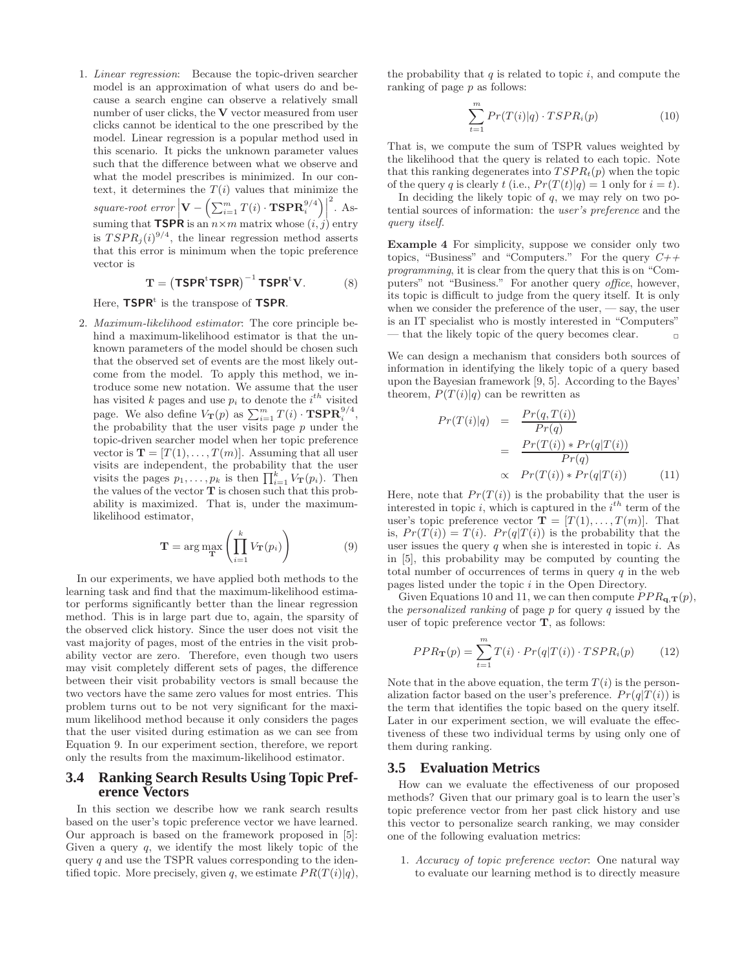1. Linear regression: Because the topic-driven searcher model is an approximation of what users do and because a search engine can observe a relatively small number of user clicks, the V vector measured from user clicks cannot be identical to the one prescribed by the model. Linear regression is a popular method used in this scenario. It picks the unknown parameter values such that the difference between what we observe and what the model prescribes is minimized. In our context, it determines the  $T(i)$  values that minimize the square-root error  $\left|\mathbf{V} - \left(\sum_{i=1}^{m} T(i) \cdot \mathbf{TSPR}_{i}^{9/4}\right)\right|\$  $\frac{2}{\text{A}}$ . suming that  $\mathsf{TSPR}$  is an  $n \times m$  matrix whose  $(i, j)$  entry is  $TSPR<sub>j</sub>(i)^{9/4}$ , the linear regression method asserts that this error is minimum when the topic preference vector is

$$
\mathbf{T} = \left(\mathbf{TSPR}^{\mathrm{t}} \mathbf{TSPR}\right)^{-1} \mathbf{TSPR}^{\mathrm{t}} \mathbf{V}.
$$
 (8)

Here,  $TSPR<sup>t</sup>$  is the transpose of TSPR.

2. Maximum-likelihood estimator: The core principle behind a maximum-likelihood estimator is that the unknown parameters of the model should be chosen such that the observed set of events are the most likely outcome from the model. To apply this method, we introduce some new notation. We assume that the user has visited k pages and use  $p_i$  to denote the  $i^{th}$  visited page. We also define  $V_{\mathbf{T}}(p)$  as  $\sum_{i=1}^{m} T(i) \cdot \mathbf{TSPR}_{i}^{9/4},$ the probability that the user visits page  $p$  under the topic-driven searcher model when her topic preference vector is  $\mathbf{T} = [T(1), \ldots, T(m)]$ . Assuming that all user visits are independent, the probability that the user visits the pages  $p_1, \ldots, p_k$  is then  $\prod_{i=1}^k V_{\mathbf{T}}(p_i)$ . Then the values of the vector T is chosen such that this probability is maximized. That is, under the maximumlikelihood estimator,

$$
\mathbf{T} = \arg \max_{\mathbf{T}} \left( \prod_{i=1}^{k} V_{\mathbf{T}}(p_i) \right) \tag{9}
$$

In our experiments, we have applied both methods to the learning task and find that the maximum-likelihood estimator performs significantly better than the linear regression method. This is in large part due to, again, the sparsity of the observed click history. Since the user does not visit the vast majority of pages, most of the entries in the visit probability vector are zero. Therefore, even though two users may visit completely different sets of pages, the difference between their visit probability vectors is small because the two vectors have the same zero values for most entries. This problem turns out to be not very significant for the maximum likelihood method because it only considers the pages that the user visited during estimation as we can see from Equation 9. In our experiment section, therefore, we report only the results from the maximum-likelihood estimator.

## **3.4 Ranking Search Results Using Topic Preference Vectors**

In this section we describe how we rank search results based on the user's topic preference vector we have learned. Our approach is based on the framework proposed in [5]: Given a query  $q$ , we identify the most likely topic of the query  $q$  and use the TSPR values corresponding to the identified topic. More precisely, given q, we estimate  $PR(T(i)|q)$ , the probability that  $q$  is related to topic  $i$ , and compute the ranking of page p as follows:

$$
\sum_{t=1}^{m} Pr(T(i)|q) \cdot TSPR_i(p) \tag{10}
$$

That is, we compute the sum of TSPR values weighted by the likelihood that the query is related to each topic. Note that this ranking degenerates into  $TSPR_t(p)$  when the topic of the query q is clearly t (i.e.,  $Pr(T(t)|q) = 1$  only for  $i = t$ ).

In deciding the likely topic of  $q$ , we may rely on two potential sources of information: the user's preference and the query itself.

Example 4 For simplicity, suppose we consider only two topics, "Business" and "Computers." For the query  $C++$ programming, it is clear from the query that this is on "Computers" not "Business." For another query office, however, its topic is difficult to judge from the query itself. It is only when we consider the preference of the user,  $-\text{say}$ , the user is an IT specialist who is mostly interested in "Computers" — that the likely topic of the query becomes clear.  $\Box$ 

We can design a mechanism that considers both sources of information in identifying the likely topic of a query based upon the Bayesian framework [9, 5]. According to the Bayes' theorem,  $P(T(i)|q)$  can be rewritten as

$$
Pr(T(i)|q) = \frac{Pr(q, T(i))}{Pr(q)}
$$
  
= 
$$
\frac{Pr(T(i)) * Pr(q|T(i))}{Pr(q)}
$$
  

$$
\propto Pr(T(i)) * Pr(q|T(i))
$$
 (11)

Here, note that  $Pr(T(i))$  is the probability that the user is interested in topic i, which is captured in the  $i^{th}$  term of the user's topic preference vector  $\mathbf{T} = [T(1), \ldots, T(m)]$ . That is,  $Pr(T(i)) = T(i)$ .  $Pr(q|T(i))$  is the probability that the user issues the query  $q$  when she is interested in topic  $i$ . As in [5], this probability may be computed by counting the total number of occurrences of terms in query  $q$  in the web pages listed under the topic i in the Open Directory.

Given Equations 10 and 11, we can then compute  $PPR_{q,T}(p)$ , the *personalized ranking* of page  $p$  for query  $q$  issued by the user of topic preference vector T, as follows:

$$
PPR_{\mathbf{T}}(p) = \sum_{t=1}^{m} T(i) \cdot Pr(q|T(i)) \cdot TSPR_i(p) \tag{12}
$$

Note that in the above equation, the term  $T(i)$  is the personalization factor based on the user's preference.  $Pr(q|T(i))$  is the term that identifies the topic based on the query itself. Later in our experiment section, we will evaluate the effectiveness of these two individual terms by using only one of them during ranking.

## **3.5 Evaluation Metrics**

How can we evaluate the effectiveness of our proposed methods? Given that our primary goal is to learn the user's topic preference vector from her past click history and use this vector to personalize search ranking, we may consider one of the following evaluation metrics:

1. Accuracy of topic preference vector: One natural way to evaluate our learning method is to directly measure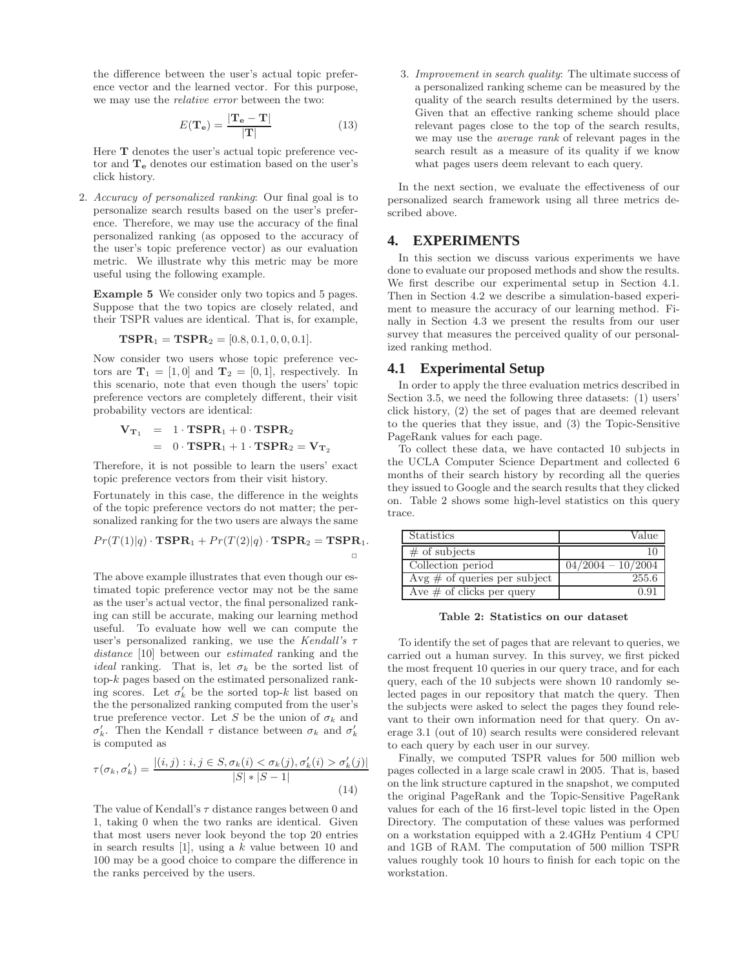the difference between the user's actual topic preference vector and the learned vector. For this purpose, we may use the relative error between the two:

$$
E(\mathbf{T_e}) = \frac{|\mathbf{T_e} - \mathbf{T}|}{|\mathbf{T}|}
$$
(13)

Here T denotes the user's actual topic preference vector and T<sup>e</sup> denotes our estimation based on the user's click history.

2. Accuracy of personalized ranking: Our final goal is to personalize search results based on the user's preference. Therefore, we may use the accuracy of the final personalized ranking (as opposed to the accuracy of the user's topic preference vector) as our evaluation metric. We illustrate why this metric may be more useful using the following example.

Example 5 We consider only two topics and 5 pages. Suppose that the two topics are closely related, and their TSPR values are identical. That is, for example,

$$
\mathbf{TSPR}_1 = \mathbf{TSPR}_2 = [0.8, 0.1, 0, 0, 0.1].
$$

Now consider two users whose topic preference vectors are  $\mathbf{T}_1 = [1, 0]$  and  $\mathbf{T}_2 = [0, 1]$ , respectively. In this scenario, note that even though the users' topic preference vectors are completely different, their visit probability vectors are identical:

$$
\begin{array}{rcl}\n\mathbf{V}_{\mathbf{T}_1} & = & 1 \cdot \mathbf{TSPR}_1 + 0 \cdot \mathbf{TSPR}_2 \\
& = & 0 \cdot \mathbf{TSPR}_1 + 1 \cdot \mathbf{TSPR}_2 = \mathbf{V}_{\mathbf{T}_2}\n\end{array}
$$

Therefore, it is not possible to learn the users' exact topic preference vectors from their visit history.

Fortunately in this case, the difference in the weights of the topic preference vectors do not matter; the personalized ranking for the two users are always the same

$$
Pr(T(1)|q) \cdot \mathbf{TSPR}_1 + Pr(T(2)|q) \cdot \mathbf{TSPR}_2 = \mathbf{TSPR}_1.
$$

The above example illustrates that even though our estimated topic preference vector may not be the same as the user's actual vector, the final personalized ranking can still be accurate, making our learning method useful. To evaluate how well we can compute the user's personalized ranking, we use the Kendall's  $\tau$ distance [10] between our *estimated* ranking and the *ideal* ranking. That is, let  $\sigma_k$  be the sorted list of top-k pages based on the estimated personalized ranking scores. Let  $\sigma'_k$  be the sorted top-k list based on the the personalized ranking computed from the user's true preference vector. Let S be the union of  $\sigma_k$  and  $\sigma'_k$ . Then the Kendall  $\tau$  distance between  $\sigma_k$  and  $\sigma'_k$ is computed as

$$
\tau(\sigma_k, \sigma'_k) = \frac{|(i, j) : i, j \in S, \sigma_k(i) < \sigma_k(j), \sigma'_k(i) > \sigma'_k(j)|}{|S| * |S - 1|} \tag{14}
$$

The value of Kendall's  $\tau$  distance ranges between 0 and 1, taking 0 when the two ranks are identical. Given that most users never look beyond the top 20 entries in search results  $[1]$ , using a k value between 10 and 100 may be a good choice to compare the difference in the ranks perceived by the users.

3. Improvement in search quality: The ultimate success of a personalized ranking scheme can be measured by the quality of the search results determined by the users. Given that an effective ranking scheme should place relevant pages close to the top of the search results, we may use the average rank of relevant pages in the search result as a measure of its quality if we know what pages users deem relevant to each query.

In the next section, we evaluate the effectiveness of our personalized search framework using all three metrics described above.

# **4. EXPERIMENTS**

In this section we discuss various experiments we have done to evaluate our proposed methods and show the results. We first describe our experimental setup in Section 4.1. Then in Section 4.2 we describe a simulation-based experiment to measure the accuracy of our learning method. Finally in Section 4.3 we present the results from our user survey that measures the perceived quality of our personalized ranking method.

# **4.1 Experimental Setup**

In order to apply the three evaluation metrics described in Section 3.5, we need the following three datasets: (1) users' click history, (2) the set of pages that are deemed relevant to the queries that they issue, and (3) the Topic-Sensitive PageRank values for each page.

To collect these data, we have contacted 10 subjects in the UCLA Computer Science Department and collected 6 months of their search history by recording all the queries they issued to Google and the search results that they clicked on. Table 2 shows some high-level statistics on this query trace.

| Statistics                      | Value               |
|---------------------------------|---------------------|
| $\#$ of subjects                |                     |
| Collection period               | $04/2004 - 10/2004$ |
| $Avg \#$ of queries per subject | 255.6               |
| Ave $\#$ of clicks per query    | 0.91                |

Table 2: Statistics on our dataset

To identify the set of pages that are relevant to queries, we carried out a human survey. In this survey, we first picked the most frequent 10 queries in our query trace, and for each query, each of the 10 subjects were shown 10 randomly selected pages in our repository that match the query. Then the subjects were asked to select the pages they found relevant to their own information need for that query. On average 3.1 (out of 10) search results were considered relevant to each query by each user in our survey.

Finally, we computed TSPR values for 500 million web pages collected in a large scale crawl in 2005. That is, based on the link structure captured in the snapshot, we computed the original PageRank and the Topic-Sensitive PageRank values for each of the 16 first-level topic listed in the Open Directory. The computation of these values was performed on a workstation equipped with a 2.4GHz Pentium 4 CPU and 1GB of RAM. The computation of 500 million TSPR values roughly took 10 hours to finish for each topic on the workstation.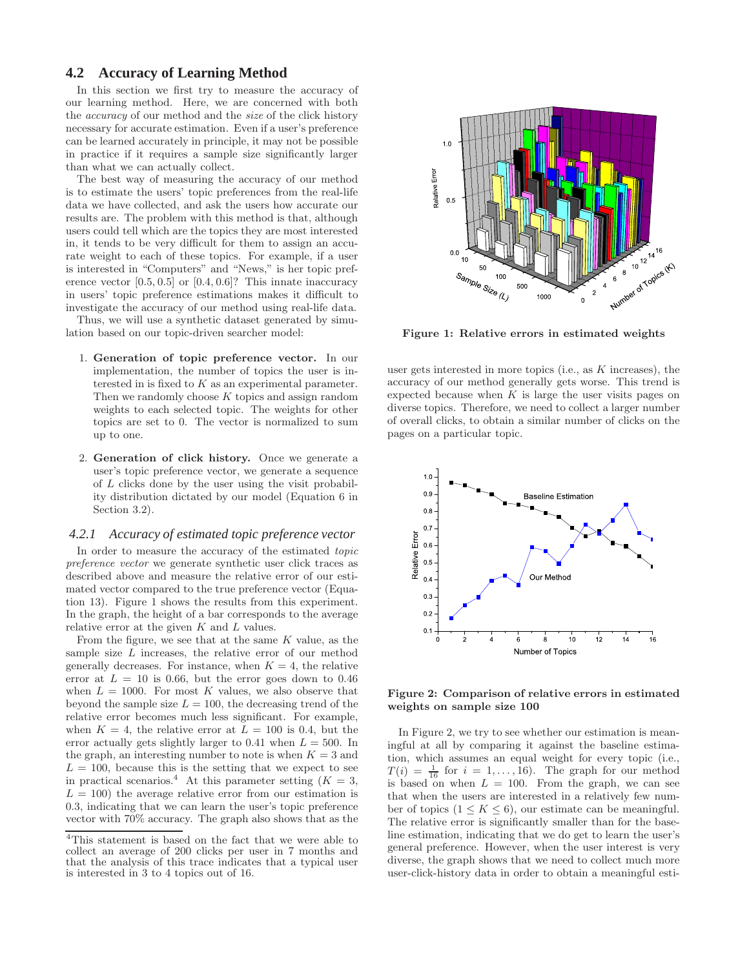# **4.2 Accuracy of Learning Method**

In this section we first try to measure the accuracy of our learning method. Here, we are concerned with both the accuracy of our method and the size of the click history necessary for accurate estimation. Even if a user's preference can be learned accurately in principle, it may not be possible in practice if it requires a sample size significantly larger than what we can actually collect.

The best way of measuring the accuracy of our method is to estimate the users' topic preferences from the real-life data we have collected, and ask the users how accurate our results are. The problem with this method is that, although users could tell which are the topics they are most interested in, it tends to be very difficult for them to assign an accurate weight to each of these topics. For example, if a user is interested in "Computers" and "News," is her topic preference vector  $[0.5, 0.5]$  or  $[0.4, 0.6]$ ? This innate inaccuracy in users' topic preference estimations makes it difficult to investigate the accuracy of our method using real-life data.

Thus, we will use a synthetic dataset generated by simulation based on our topic-driven searcher model:

- 1. Generation of topic preference vector. In our implementation, the number of topics the user is interested in is fixed to K as an experimental parameter. Then we randomly choose  $K$  topics and assign random weights to each selected topic. The weights for other topics are set to 0. The vector is normalized to sum up to one.
- 2. Generation of click history. Once we generate a user's topic preference vector, we generate a sequence of L clicks done by the user using the visit probability distribution dictated by our model (Equation 6 in Section 3.2).

#### *4.2.1 Accuracy of estimated topic preference vector*

In order to measure the accuracy of the estimated topic preference vector we generate synthetic user click traces as described above and measure the relative error of our estimated vector compared to the true preference vector (Equation 13). Figure 1 shows the results from this experiment. In the graph, the height of a bar corresponds to the average relative error at the given  $K$  and  $L$  values.

From the figure, we see that at the same  $K$  value, as the sample size  $L$  increases, the relative error of our method generally decreases. For instance, when  $K = 4$ , the relative error at  $L = 10$  is 0.66, but the error goes down to 0.46 when  $L = 1000$ . For most K values, we also observe that beyond the sample size  $L = 100$ , the decreasing trend of the relative error becomes much less significant. For example, when  $K = 4$ , the relative error at  $L = 100$  is 0.4, but the error actually gets slightly larger to 0.41 when  $L = 500$ . In the graph, an interesting number to note is when  $K = 3$  and  $L = 100$ , because this is the setting that we expect to see in practical scenarios.<sup>4</sup> At this parameter setting  $(K = 3,$  $L = 100$ ) the average relative error from our estimation is 0.3, indicating that we can learn the user's topic preference vector with 70% accuracy. The graph also shows that as the



Figure 1: Relative errors in estimated weights

user gets interested in more topics (i.e., as  $K$  increases), the accuracy of our method generally gets worse. This trend is expected because when  $K$  is large the user visits pages on diverse topics. Therefore, we need to collect a larger number of overall clicks, to obtain a similar number of clicks on the pages on a particular topic.



Figure 2: Comparison of relative errors in estimated weights on sample size 100

In Figure 2, we try to see whether our estimation is meaningful at all by comparing it against the baseline estimation, which assumes an equal weight for every topic (i.e.,  $T(i) = \frac{1}{16}$  for  $i = 1, \ldots, 16$ . The graph for our method is based on when  $L = 100$ . From the graph, we can see that when the users are interested in a relatively few number of topics  $(1 \leq K \leq 6)$ , our estimate can be meaningful. The relative error is significantly smaller than for the baseline estimation, indicating that we do get to learn the user's general preference. However, when the user interest is very diverse, the graph shows that we need to collect much more user-click-history data in order to obtain a meaningful esti-

<sup>4</sup>This statement is based on the fact that we were able to collect an average of 200 clicks per user in 7 months and that the analysis of this trace indicates that a typical user is interested in 3 to 4 topics out of 16.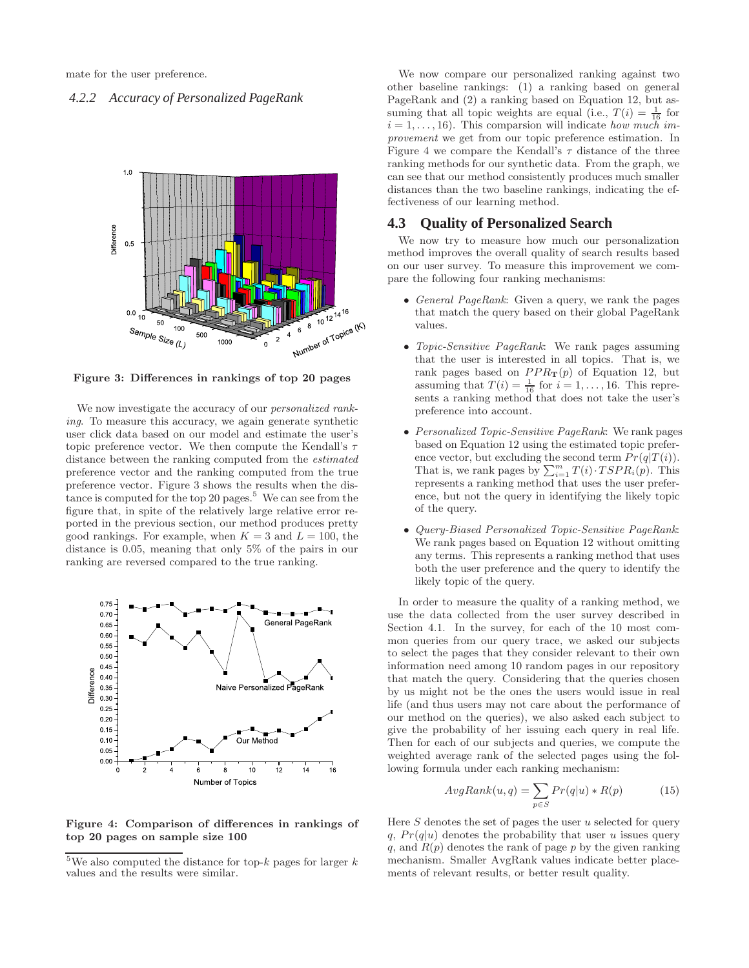mate for the user preference.

#### *4.2.2 Accuracy of Personalized PageRank*



Figure 3: Differences in rankings of top 20 pages

We now investigate the accuracy of our *personalized rank*ing. To measure this accuracy, we again generate synthetic user click data based on our model and estimate the user's topic preference vector. We then compute the Kendall's  $\tau$ distance between the ranking computed from the estimated preference vector and the ranking computed from the true preference vector. Figure 3 shows the results when the distance is computed for the top 20 pages.<sup>5</sup> We can see from the figure that, in spite of the relatively large relative error reported in the previous section, our method produces pretty good rankings. For example, when  $K = 3$  and  $L = 100$ , the distance is 0.05, meaning that only 5% of the pairs in our ranking are reversed compared to the true ranking.



Figure 4: Comparison of differences in rankings of top 20 pages on sample size 100

We now compare our personalized ranking against two other baseline rankings: (1) a ranking based on general PageRank and (2) a ranking based on Equation 12, but assuming that all topic weights are equal (i.e.,  $T(i) = \frac{1}{16}$  for  $i = 1, \ldots, 16$ . This comparsion will indicate how much improvement we get from our topic preference estimation. In Figure 4 we compare the Kendall's  $\tau$  distance of the three ranking methods for our synthetic data. From the graph, we can see that our method consistently produces much smaller distances than the two baseline rankings, indicating the effectiveness of our learning method.

## **4.3 Quality of Personalized Search**

We now try to measure how much our personalization method improves the overall quality of search results based on our user survey. To measure this improvement we compare the following four ranking mechanisms:

- General PageRank: Given a query, we rank the pages that match the query based on their global PageRank values.
- Topic-Sensitive PageRank: We rank pages assuming that the user is interested in all topics. That is, we rank pages based on  $PPR_{\textbf{T}}(p)$  of Equation 12, but assuming that  $T(i) = \frac{1}{16}$  for  $i = 1, \ldots, 16$ . This represents a ranking method that does not take the user's preference into account.
- Personalized Topic-Sensitive PageRank: We rank pages based on Equation 12 using the estimated topic preference vector, but excluding the second term  $Pr(q|T(i))$ . That is, we rank pages by  $\sum_{i=1}^{m} T(i) \cdot TSPR_i(p)$ . This represents a ranking method that uses the user preference, but not the query in identifying the likely topic of the query.
- Query-Biased Personalized Topic-Sensitive PageRank: We rank pages based on Equation 12 without omitting any terms. This represents a ranking method that uses both the user preference and the query to identify the likely topic of the query.

In order to measure the quality of a ranking method, we use the data collected from the user survey described in Section 4.1. In the survey, for each of the 10 most common queries from our query trace, we asked our subjects to select the pages that they consider relevant to their own information need among 10 random pages in our repository that match the query. Considering that the queries chosen by us might not be the ones the users would issue in real life (and thus users may not care about the performance of our method on the queries), we also asked each subject to give the probability of her issuing each query in real life. Then for each of our subjects and queries, we compute the weighted average rank of the selected pages using the following formula under each ranking mechanism:

$$
AvgRank(u,q) = \sum_{p \in S} Pr(q|u) * R(p) \tag{15}
$$

Here  $S$  denotes the set of pages the user  $u$  selected for query q,  $Pr(q|u)$  denotes the probability that user u issues query q, and  $R(p)$  denotes the rank of page p by the given ranking mechanism. Smaller AvgRank values indicate better placements of relevant results, or better result quality.

 $5\mathrm{We}$  also computed the distance for top- $k$  pages for larger  $k$ values and the results were similar.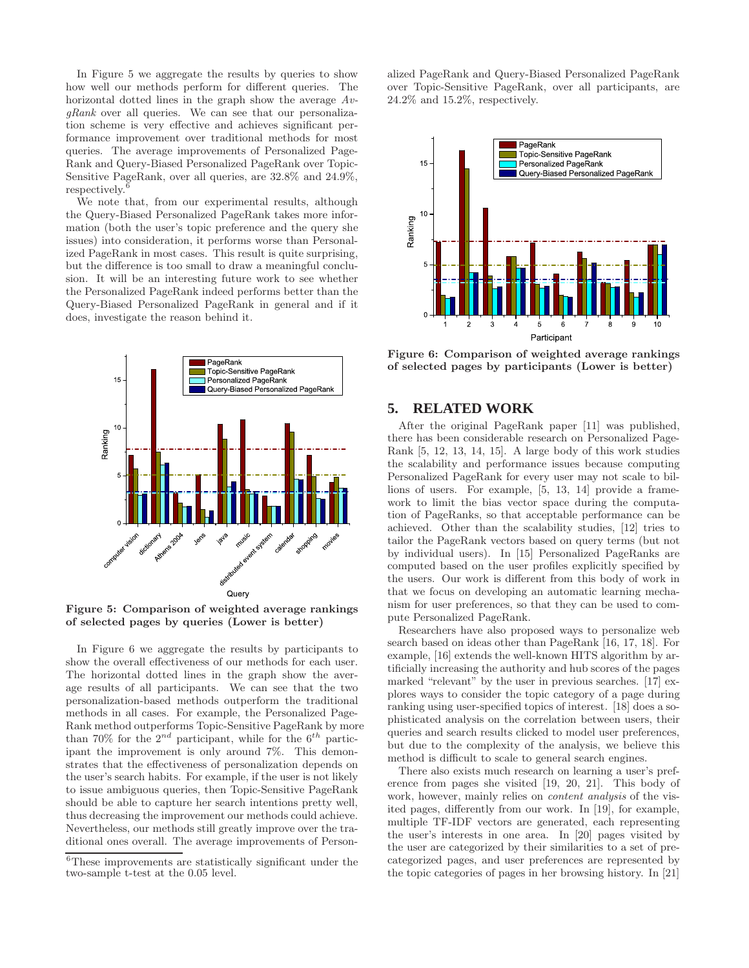In Figure 5 we aggregate the results by queries to show how well our methods perform for different queries. The horizontal dotted lines in the graph show the average  $Av$ gRank over all queries. We can see that our personalization scheme is very effective and achieves significant performance improvement over traditional methods for most queries. The average improvements of Personalized Page-Rank and Query-Biased Personalized PageRank over Topic-Sensitive PageRank, over all queries, are 32.8% and 24.9%, respectively.

We note that, from our experimental results, although the Query-Biased Personalized PageRank takes more information (both the user's topic preference and the query she issues) into consideration, it performs worse than Personalized PageRank in most cases. This result is quite surprising, but the difference is too small to draw a meaningful conclusion. It will be an interesting future work to see whether the Personalized PageRank indeed performs better than the Query-Biased Personalized PageRank in general and if it does, investigate the reason behind it.



Figure 5: Comparison of weighted average rankings of selected pages by queries (Lower is better)

In Figure 6 we aggregate the results by participants to show the overall effectiveness of our methods for each user. The horizontal dotted lines in the graph show the average results of all participants. We can see that the two personalization-based methods outperform the traditional methods in all cases. For example, the Personalized Page-Rank method outperforms Topic-Sensitive PageRank by more than 70% for the  $2^{nd}$  participant, while for the  $6^{th}$  participant the improvement is only around 7%. This demonstrates that the effectiveness of personalization depends on the user's search habits. For example, if the user is not likely to issue ambiguous queries, then Topic-Sensitive PageRank should be able to capture her search intentions pretty well, thus decreasing the improvement our methods could achieve. Nevertheless, our methods still greatly improve over the traditional ones overall. The average improvements of Personalized PageRank and Query-Biased Personalized PageRank over Topic-Sensitive PageRank, over all participants, are 24.2% and 15.2%, respectively.



Figure 6: Comparison of weighted average rankings of selected pages by participants (Lower is better)

# **5. RELATED WORK**

After the original PageRank paper [11] was published, there has been considerable research on Personalized Page-Rank [5, 12, 13, 14, 15]. A large body of this work studies the scalability and performance issues because computing Personalized PageRank for every user may not scale to billions of users. For example, [5, 13, 14] provide a framework to limit the bias vector space during the computation of PageRanks, so that acceptable performance can be achieved. Other than the scalability studies, [12] tries to tailor the PageRank vectors based on query terms (but not by individual users). In [15] Personalized PageRanks are computed based on the user profiles explicitly specified by the users. Our work is different from this body of work in that we focus on developing an automatic learning mechanism for user preferences, so that they can be used to compute Personalized PageRank.

Researchers have also proposed ways to personalize web search based on ideas other than PageRank [16, 17, 18]. For example, [16] extends the well-known HITS algorithm by artificially increasing the authority and hub scores of the pages marked "relevant" by the user in previous searches. [17] explores ways to consider the topic category of a page during ranking using user-specified topics of interest. [18] does a sophisticated analysis on the correlation between users, their queries and search results clicked to model user preferences, but due to the complexity of the analysis, we believe this method is difficult to scale to general search engines.

There also exists much research on learning a user's preference from pages she visited [19, 20, 21]. This body of work, however, mainly relies on content analysis of the visited pages, differently from our work. In [19], for example, multiple TF-IDF vectors are generated, each representing the user's interests in one area. In [20] pages visited by the user are categorized by their similarities to a set of precategorized pages, and user preferences are represented by the topic categories of pages in her browsing history. In [21]

<sup>6</sup>These improvements are statistically significant under the two-sample t-test at the 0.05 level.